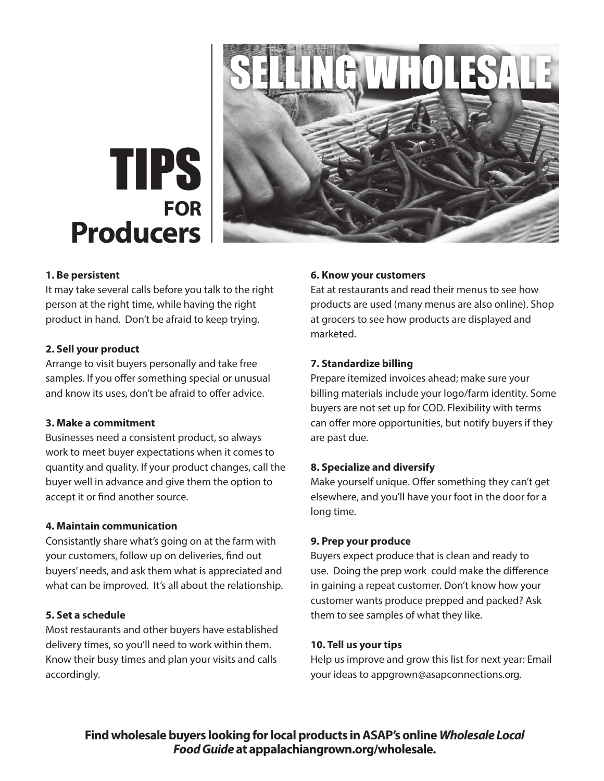

# **FOR Producers** TIPS

#### **1. Be persistent**

It may take several calls before you talk to the right person at the right time, while having the right product in hand. Don't be afraid to keep trying.

# **2. Sell your product**

Arrange to visit buyers personally and take free samples. If you offer something special or unusual and know its uses, don't be afraid to offer advice.

# **3. Make a commitment**

Businesses need a consistent product, so always work to meet buyer expectations when it comes to quantity and quality. If your product changes, call the buyer well in advance and give them the option to accept it or find another source.

# **4. Maintain communication**

Consistantly share what's going on at the farm with your customers, follow up on deliveries, find out buyers' needs, and ask them what is appreciated and what can be improved. It's all about the relationship.

# **5. Set a schedule**

Most restaurants and other buyers have established delivery times, so you'll need to work within them. Know their busy times and plan your visits and calls accordingly.

# **6. Know your customers**

Eat at restaurants and read their menus to see how products are used (many menus are also online). Shop at grocers to see how products are displayed and marketed.

#### **7. Standardize billing**

Prepare itemized invoices ahead; make sure your billing materials include your logo/farm identity. Some buyers are not set up for COD. Flexibility with terms can offer more opportunities, but notify buyers if they are past due.

#### **8. Specialize and diversify**

Make yourself unique. Offer something they can't get elsewhere, and you'll have your foot in the door for a long time.

#### **9. Prep your produce**

Buyers expect produce that is clean and ready to use. Doing the prep work could make the difference in gaining a repeat customer. Don't know how your customer wants produce prepped and packed? Ask them to see samples of what they like.

# **10. Tell us your tips**

Help us improve and grow this list for next year: Email your ideas to appgrown@asapconnections.org.

**Find wholesale buyers looking for local products in ASAP's online** *Wholesale Local Food Guide* **at appalachiangrown.org/wholesale.**